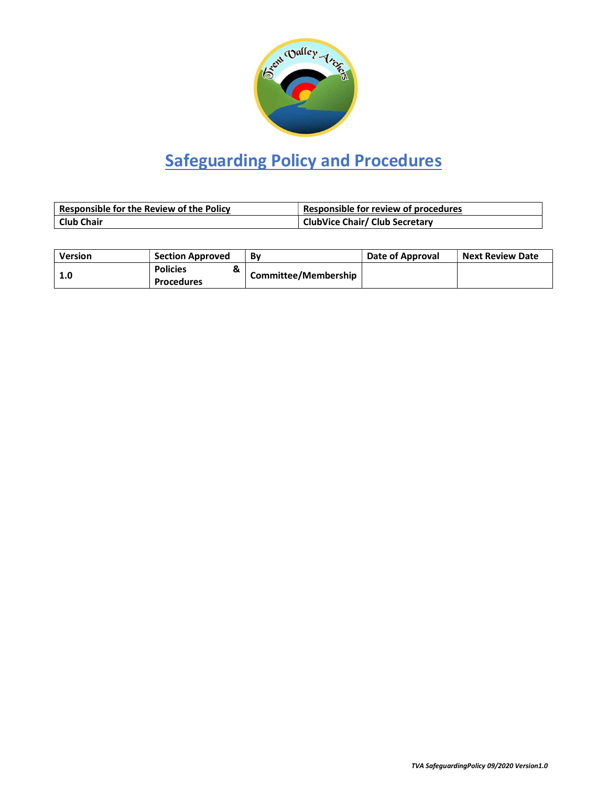

# Safeguarding Policy and Procedures

| <b>Responsible for the Review of the Policy</b> | Responsible for review of procedures  |
|-------------------------------------------------|---------------------------------------|
| <b>Club Chair</b>                               | <b>ClubVice Chair/ Club Secretary</b> |

| <b>Version</b> | <b>Section Approved</b> | Bv                          | Date of Approval | <b>Next Review Date</b> |
|----------------|-------------------------|-----------------------------|------------------|-------------------------|
|                | <b>Policies</b><br>α    |                             |                  |                         |
|                | <b>Procedures</b>       | <b>Committee/Membership</b> |                  |                         |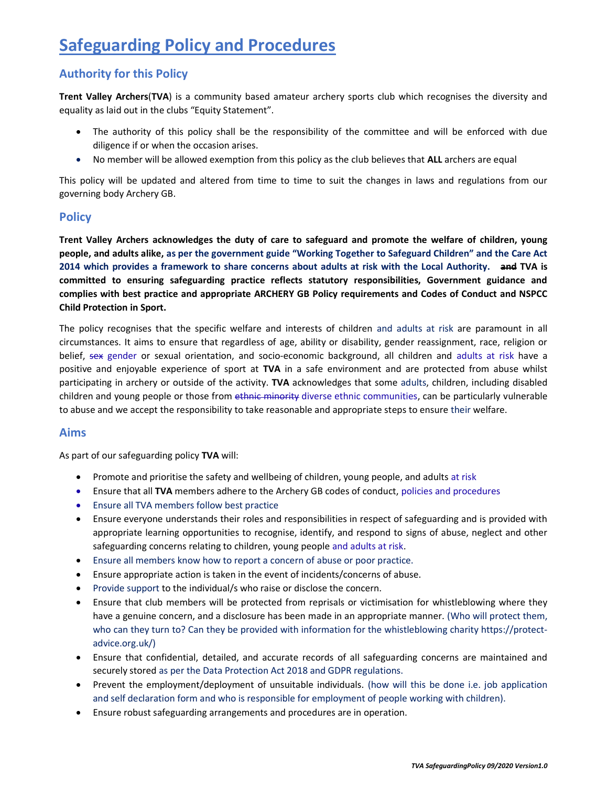# Safeguarding Policy and Procedures

## Authority for this Policy

Trent Valley Archers(TVA) is a community based amateur archery sports club which recognises the diversity and equality as laid out in the clubs "Equity Statement".

- The authority of this policy shall be the responsibility of the committee and will be enforced with due diligence if or when the occasion arises.
- No member will be allowed exemption from this policy as the club believes that ALL archers are equal

This policy will be updated and altered from time to time to suit the changes in laws and regulations from our governing body Archery GB.

### **Policy**

Trent Valley Archers acknowledges the duty of care to safeguard and promote the welfare of children, young people, and adults alike, as per the government guide "Working Together to Safeguard Children" and the Care Act 2014 which provides a framework to share concerns about adults at risk with the Local Authority. and TVA is committed to ensuring safeguarding practice reflects statutory responsibilities, Government guidance and complies with best practice and appropriate ARCHERY GB Policy requirements and Codes of Conduct and NSPCC Child Protection in Sport.

The policy recognises that the specific welfare and interests of children and adults at risk are paramount in all circumstances. It aims to ensure that regardless of age, ability or disability, gender reassignment, race, religion or belief, sex gender or sexual orientation, and socio-economic background, all children and adults at risk have a positive and enjoyable experience of sport at TVA in a safe environment and are protected from abuse whilst participating in archery or outside of the activity. TVA acknowledges that some adults, children, including disabled children and young people or those from ethnic minority diverse ethnic communities, can be particularly vulnerable to abuse and we accept the responsibility to take reasonable and appropriate steps to ensure their welfare.

#### Aims

As part of our safeguarding policy TVA will:

- Promote and prioritise the safety and wellbeing of children, young people, and adults at risk
- Ensure that all TVA members adhere to the Archery GB codes of conduct, policies and procedures
- Ensure all TVA members follow best practice
- Ensure everyone understands their roles and responsibilities in respect of safeguarding and is provided with appropriate learning opportunities to recognise, identify, and respond to signs of abuse, neglect and other safeguarding concerns relating to children, young people and adults at risk.
- Ensure all members know how to report a concern of abuse or poor practice.
- Ensure appropriate action is taken in the event of incidents/concerns of abuse.
- Provide support to the individual/s who raise or disclose the concern.
- Ensure that club members will be protected from reprisals or victimisation for whistleblowing where they have a genuine concern, and a disclosure has been made in an appropriate manner. (Who will protect them, who can they turn to? Can they be provided with information for the whistleblowing charity https://protectadvice.org.uk/)
- Ensure that confidential, detailed, and accurate records of all safeguarding concerns are maintained and securely stored as per the Data Protection Act 2018 and GDPR regulations.
- Prevent the employment/deployment of unsuitable individuals. (how will this be done i.e. job application and self declaration form and who is responsible for employment of people working with children).
- Ensure robust safeguarding arrangements and procedures are in operation.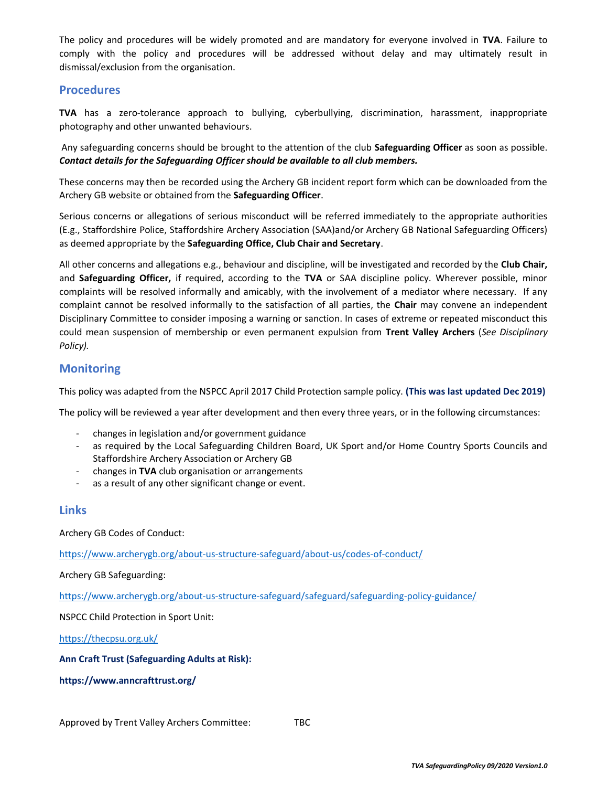The policy and procedures will be widely promoted and are mandatory for everyone involved in TVA. Failure to comply with the policy and procedures will be addressed without delay and may ultimately result in dismissal/exclusion from the organisation.

#### **Procedures**

TVA has a zero-tolerance approach to bullying, cyberbullying, discrimination, harassment, inappropriate photography and other unwanted behaviours.

Any safeguarding concerns should be brought to the attention of the club Safeguarding Officer as soon as possible. Contact details for the Safeguarding Officer should be available to all club members.

These concerns may then be recorded using the Archery GB incident report form which can be downloaded from the Archery GB website or obtained from the Safeguarding Officer.

Serious concerns or allegations of serious misconduct will be referred immediately to the appropriate authorities (E.g., Staffordshire Police, Staffordshire Archery Association (SAA)and/or Archery GB National Safeguarding Officers) as deemed appropriate by the Safeguarding Office, Club Chair and Secretary.

All other concerns and allegations e.g., behaviour and discipline, will be investigated and recorded by the Club Chair, and Safeguarding Officer, if required, according to the TVA or SAA discipline policy. Wherever possible, minor complaints will be resolved informally and amicably, with the involvement of a mediator where necessary. If any complaint cannot be resolved informally to the satisfaction of all parties, the Chair may convene an independent Disciplinary Committee to consider imposing a warning or sanction. In cases of extreme or repeated misconduct this could mean suspension of membership or even permanent expulsion from Trent Valley Archers (See Disciplinary Policy).

#### **Monitoring**

This policy was adapted from the NSPCC April 2017 Child Protection sample policy. (This was last updated Dec 2019)

The policy will be reviewed a year after development and then every three years, or in the following circumstances:

- changes in legislation and/or government guidance
- as required by the Local Safeguarding Children Board, UK Sport and/or Home Country Sports Councils and Staffordshire Archery Association or Archery GB
- changes in TVA club organisation or arrangements
- as a result of any other significant change or event.

#### Links

Archery GB Codes of Conduct:

https://www.archerygb.org/about-us-structure-safeguard/about-us/codes-of-conduct/

Archery GB Safeguarding:

https://www.archerygb.org/about-us-structure-safeguard/safeguard/safeguarding-policy-guidance/

NSPCC Child Protection in Sport Unit:

https://thecpsu.org.uk/

Ann Craft Trust (Safeguarding Adults at Risk):

https://www.anncrafttrust.org/